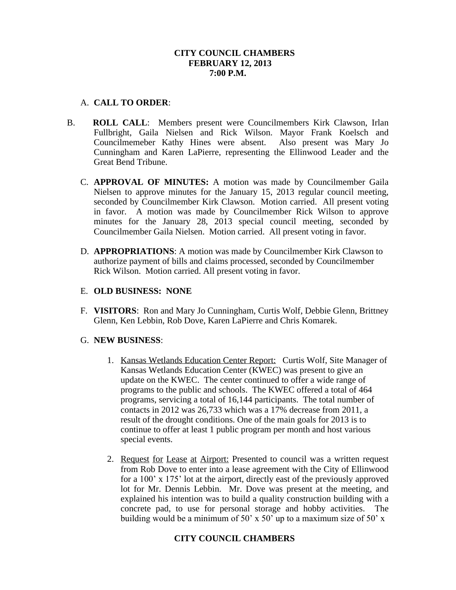### **CITY COUNCIL CHAMBERS FEBRUARY 12, 2013 7:00 P.M.**

### A. **CALL TO ORDER**:

- B. **ROLL CALL**: Members present were Councilmembers Kirk Clawson, Irlan Fullbright, Gaila Nielsen and Rick Wilson. Mayor Frank Koelsch and Councilmemeber Kathy Hines were absent. Also present was Mary Jo Cunningham and Karen LaPierre, representing the Ellinwood Leader and the Great Bend Tribune.
	- C. **APPROVAL OF MINUTES:** A motion was made by Councilmember Gaila Nielsen to approve minutes for the January 15, 2013 regular council meeting, seconded by Councilmember Kirk Clawson. Motion carried. All present voting in favor. A motion was made by Councilmember Rick Wilson to approve minutes for the January 28, 2013 special council meeting, seconded by Councilmember Gaila Nielsen. Motion carried. All present voting in favor.
	- D. **APPROPRIATIONS**: A motion was made by Councilmember Kirk Clawson to authorize payment of bills and claims processed, seconded by Councilmember Rick Wilson. Motion carried. All present voting in favor.
	- E. **OLD BUSINESS: NONE**
	- F. **VISITORS**: Ron and Mary Jo Cunningham, Curtis Wolf, Debbie Glenn, Brittney Glenn, Ken Lebbin, Rob Dove, Karen LaPierre and Chris Komarek.

## G. **NEW BUSINESS**:

- 1. Kansas Wetlands Education Center Report: Curtis Wolf, Site Manager of Kansas Wetlands Education Center (KWEC) was present to give an update on the KWEC. The center continued to offer a wide range of programs to the public and schools. The KWEC offered a total of 464 programs, servicing a total of 16,144 participants. The total number of contacts in 2012 was 26,733 which was a 17% decrease from 2011, a result of the drought conditions. One of the main goals for 2013 is to continue to offer at least 1 public program per month and host various special events.
- 2. Request for Lease at Airport: Presented to council was a written request from Rob Dove to enter into a lease agreement with the City of Ellinwood for a 100' x 175' lot at the airport, directly east of the previously approved lot for Mr. Dennis Lebbin. Mr. Dove was present at the meeting, and explained his intention was to build a quality construction building with a concrete pad, to use for personal storage and hobby activities. The building would be a minimum of 50' x 50' up to a maximum size of 50' x

# **CITY COUNCIL CHAMBERS**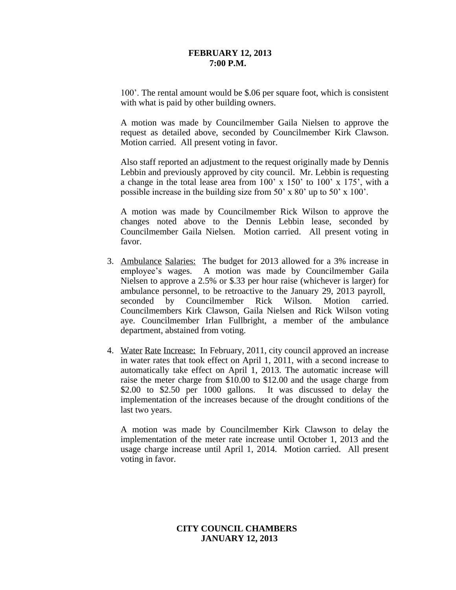#### **FEBRUARY 12, 2013 7:00 P.M.**

100'. The rental amount would be \$.06 per square foot, which is consistent with what is paid by other building owners.

A motion was made by Councilmember Gaila Nielsen to approve the request as detailed above, seconded by Councilmember Kirk Clawson. Motion carried. All present voting in favor.

Also staff reported an adjustment to the request originally made by Dennis Lebbin and previously approved by city council. Mr. Lebbin is requesting a change in the total lease area from 100' x 150' to 100' x 175', with a possible increase in the building size from 50' x 80' up to 50' x 100'.

A motion was made by Councilmember Rick Wilson to approve the changes noted above to the Dennis Lebbin lease, seconded by Councilmember Gaila Nielsen. Motion carried. All present voting in favor.

- 3. Ambulance Salaries: The budget for 2013 allowed for a 3% increase in employee's wages. A motion was made by Councilmember Gaila Nielsen to approve a 2.5% or \$.33 per hour raise (whichever is larger) for ambulance personnel, to be retroactive to the January 29, 2013 payroll, seconded by Councilmember Rick Wilson. Motion carried. Councilmembers Kirk Clawson, Gaila Nielsen and Rick Wilson voting aye. Councilmember Irlan Fullbright, a member of the ambulance department, abstained from voting.
- 4. Water Rate Increase: In February, 2011, city council approved an increase in water rates that took effect on April 1, 2011, with a second increase to automatically take effect on April 1, 2013. The automatic increase will raise the meter charge from \$10.00 to \$12.00 and the usage charge from \$2.00 to \$2.50 per 1000 gallons. It was discussed to delay the implementation of the increases because of the drought conditions of the last two years.

A motion was made by Councilmember Kirk Clawson to delay the implementation of the meter rate increase until October 1, 2013 and the usage charge increase until April 1, 2014. Motion carried. All present voting in favor.

## **CITY COUNCIL CHAMBERS JANUARY 12, 2013**